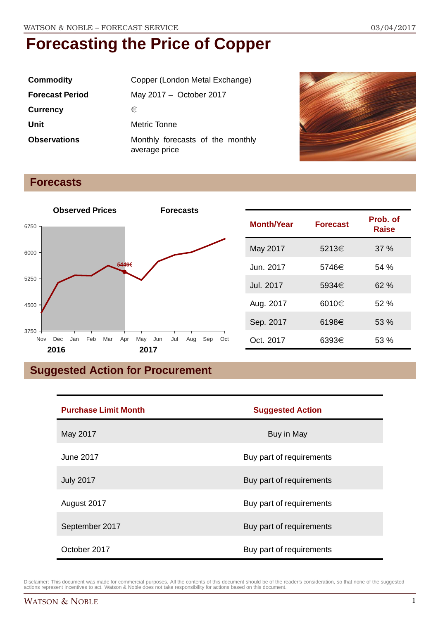| <b>Commodity</b>       | Copper (London Metal Exchange)                    |  |
|------------------------|---------------------------------------------------|--|
| <b>Forecast Period</b> | May 2017 - October 2017                           |  |
| <b>Currency</b>        | €                                                 |  |
| Unit                   | Metric Tonne                                      |  |
| <b>Observations</b>    | Monthly forecasts of the monthly<br>average price |  |



#### **Forecasts**



| <b>Month/Year</b> | <b>Forecast</b> | Prob. of<br>Raise |
|-------------------|-----------------|-------------------|
| May 2017          | 5213€           | 37%               |
| Jun. 2017         | 5746€           | 54%               |
| Jul. 2017         | 5934€           | 62%               |
| Aug. 2017         | 6010€           | 52%               |
| Sep. 2017         | 6198€           | 53 %              |
| Oct. 2017         | 6393€           | 53%               |

### **Suggested Action for Procurement**

| <b>Purchase Limit Month</b> | <b>Suggested Action</b>  |
|-----------------------------|--------------------------|
| May 2017                    | Buy in May               |
| June 2017                   | Buy part of requirements |
| <b>July 2017</b>            | Buy part of requirements |
| August 2017                 | Buy part of requirements |
| September 2017              | Buy part of requirements |
| October 2017                | Buy part of requirements |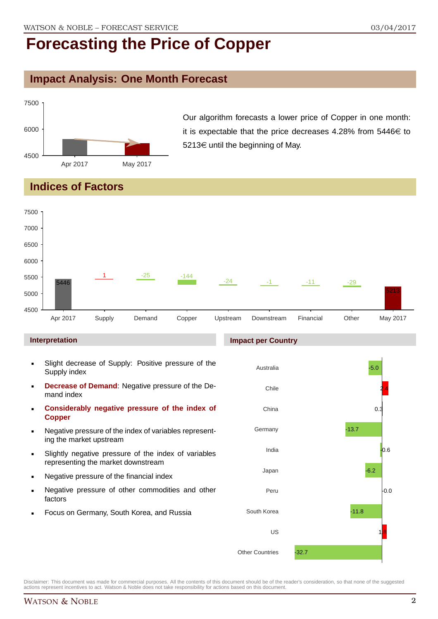### **Impact Analysis: One Month Forecast**



Our algorithm forecasts a lower price of Copper in one month: it is expectable that the price decreases 4.28% from  $5446 \in$  to 5213 $\epsilon$  until the beginning of May.

### **Indices of Factors**



#### **Interpretation**

- Slight decrease of Supply: Positive pressure of the Supply index
- **Decrease of Demand**: Negative pressure of the Demand index
- **Considerably negative pressure of the index of Copper**
- Negative pressure of the index of variables representing the market upstream
- Slightly negative pressure of the index of variables representing the market downstream
- Negative pressure of the financial index
- Negative pressure of other commodities and other factors
- Focus on Germany, South Korea, and Russia



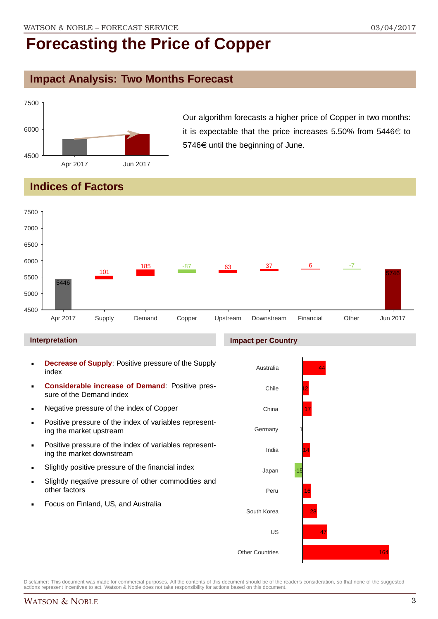#### **Impact Analysis: Two Months Forecast**



Our algorithm forecasts a higher price of Copper in two months: it is expectable that the price increases 5.50% from  $5446 \in$  to  $5746 \in$  until the beginning of June.

### **Indices of Factors**



#### **Interpretation**

- **Decrease of Supply**: Positive pressure of the Supply index
- **Considerable increase of Demand**: Positive pressure of the Demand index
- **Negative pressure of the index of Copper**
- Positive pressure of the index of variables representing the market upstream
- **Positive pressure of the index of variables represent**ing the market downstream
- **Slightly positive pressure of the financial index**
- Slightly negative pressure of other commodities and other factors
- Focus on Finland, US, and Australia

#### **Impact per Country**

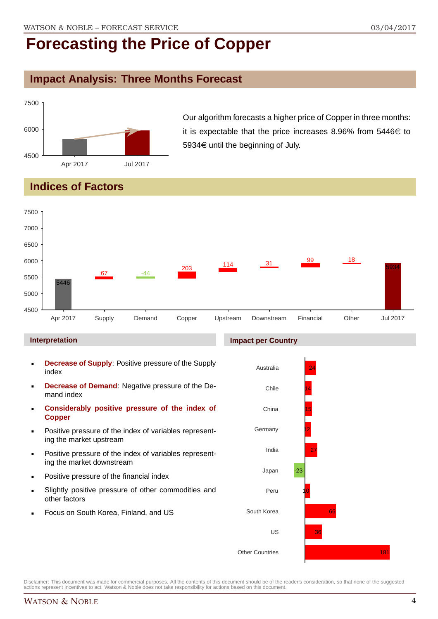### **Impact Analysis: Three Months Forecast**



Our algorithm forecasts a higher price of Copper in three months: it is expectable that the price increases 8.96% from  $5446 \in$  to 5934 $\in$  until the beginning of July.

### **Indices of Factors**



- **Decrease of Supply**: Positive pressure of the Supply index
- **Decrease of Demand**: Negative pressure of the Demand index
- **Considerably positive pressure of the index of Copper**
- Positive pressure of the index of variables representing the market upstream
- Positive pressure of the index of variables representing the market downstream
- Positive pressure of the financial index
- Slightly positive pressure of other commodities and other factors
- Focus on South Korea, Finland, and US

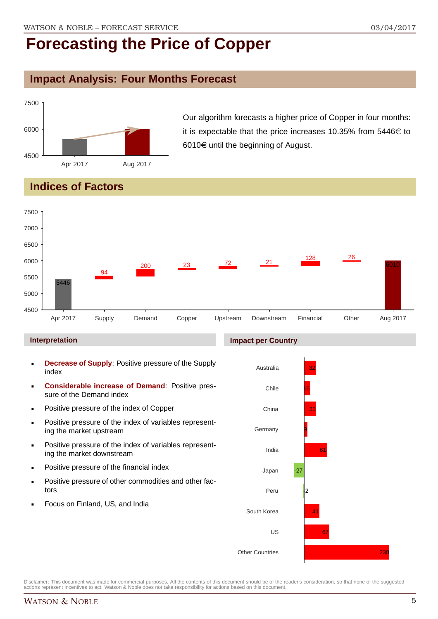### **Impact Analysis: Four Months Forecast**



Our algorithm forecasts a higher price of Copper in four months: it is expectable that the price increases 10.35% from 5446 $\in$  to 6010 $\in$  until the beginning of August.

### **Indices of Factors**



- **Decrease of Supply**: Positive pressure of the Supply index
- **Considerable increase of Demand**: Positive pressure of the Demand index
- **Positive pressure of the index of Copper**
- Positive pressure of the index of variables representing the market upstream
- **Positive pressure of the index of variables represent**ing the market downstream
- **•** Positive pressure of the financial index
- **Positive pressure of other commodities and other fac**tors
- Focus on Finland, US, and India

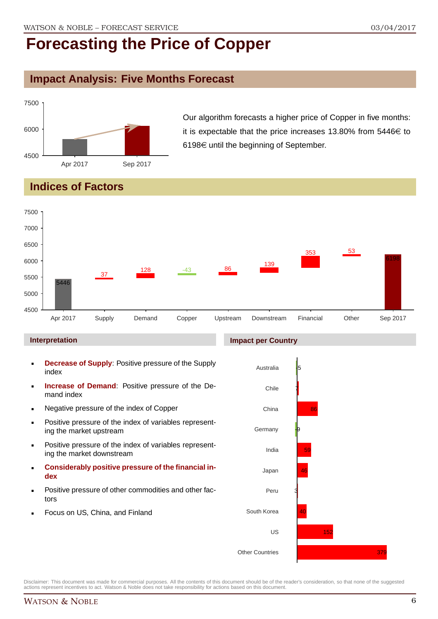#### **Impact Analysis: Five Months Forecast**



Our algorithm forecasts a higher price of Copper in five months: it is expectable that the price increases 13.80% from  $5446 \in$  to 6198 $\in$  until the beginning of September.

### **Indices of Factors**



#### **Interpretation**

- **Decrease of Supply**: Positive pressure of the Supply index
- **Increase of Demand**: Positive pressure of the Demand index
- Negative pressure of the index of Copper
- **Positive pressure of the index of variables represent**ing the market upstream
- Positive pressure of the index of variables representing the market downstream
- **Considerably positive pressure of the financial index**
- Positive pressure of other commodities and other factors
- Focus on US, China, and Finland

#### **Impact per Country**

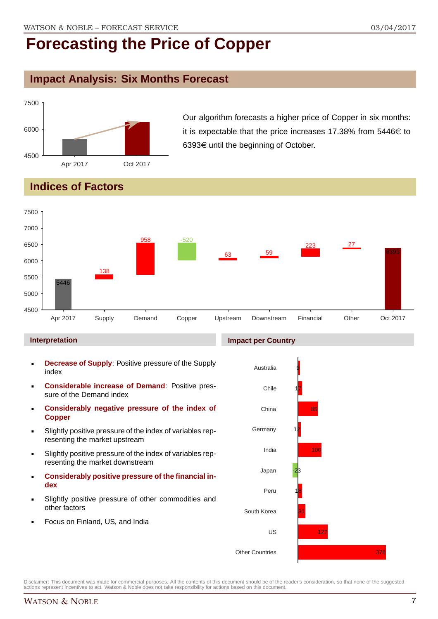### **Impact Analysis: Six Months Forecast**



Our algorithm forecasts a higher price of Copper in six months: it is expectable that the price increases 17.38% from  $5446 \in$  to 6393 $\in$  until the beginning of October.

### **Indices of Factors**



#### **Interpretation**

- **Decrease of Supply**: Positive pressure of the Supply index
- **Considerable increase of Demand**: Positive pressure of the Demand index
- **Considerably negative pressure of the index of Copper**
- Slightly positive pressure of the index of variables representing the market upstream
- Slightly positive pressure of the index of variables representing the market downstream
- **Considerably positive pressure of the financial index**
- Slightly positive pressure of other commodities and other factors
- Focus on Finland, US, and India

![](_page_6_Figure_17.jpeg)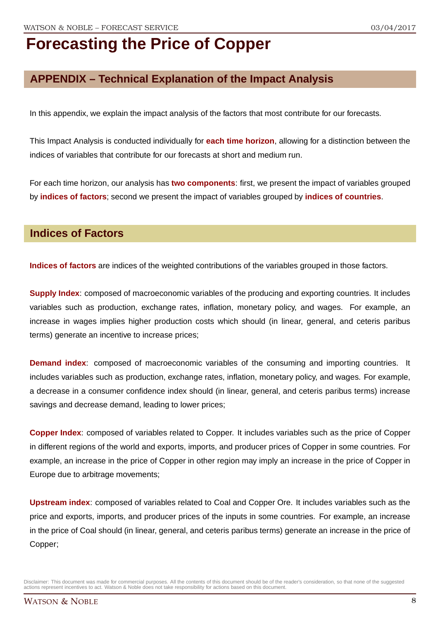### **APPENDIX – Technical Explanation of the Impact Analysis**

In this appendix, we explain the impact analysis of the factors that most contribute for our forecasts.

This Impact Analysis is conducted individually for **each time horizon**, allowing for a distinction between the indices of variables that contribute for our forecasts at short and medium run.

For each time horizon, our analysis has **two components**: first, we present the impact of variables grouped by **indices of factors**; second we present the impact of variables grouped by **indices of countries**.

#### **Indices of Factors**

**Indices of factors** are indices of the weighted contributions of the variables grouped in those factors.

**Supply Index:** composed of macroeconomic variables of the producing and exporting countries. It includes variables such as production, exchange rates, inflation, monetary policy, and wages. For example, an increase in wages implies higher production costs which should (in linear, general, and ceteris paribus terms) generate an incentive to increase prices;

**Demand index**: composed of macroeconomic variables of the consuming and importing countries. It includes variables such as production, exchange rates, inflation, monetary policy, and wages. For example, a decrease in a consumer confidence index should (in linear, general, and ceteris paribus terms) increase savings and decrease demand, leading to lower prices;

**Copper Index**: composed of variables related to Copper. It includes variables such as the price of Copper in different regions of the world and exports, imports, and producer prices of Copper in some countries. For example, an increase in the price of Copper in other region may imply an increase in the price of Copper in Europe due to arbitrage movements;

**Upstream index**: composed of variables related to Coal and Copper Ore. It includes variables such as the price and exports, imports, and producer prices of the inputs in some countries. For example, an increase in the price of Coal should (in linear, general, and ceteris paribus terms) generate an increase in the price of Copper;